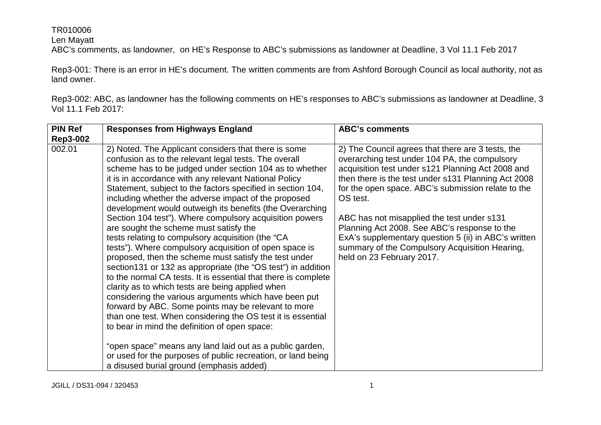Len Mayatt

ABC's comments, as landowner, on HE's Response to ABC's submissions as landowner at Deadline, 3 Vol 11.1 Feb 2017

Rep3-001: There is an error in HE's document. The written comments are from Ashford Borough Council as local authority, not as land owner.

Rep3-002: ABC, as landowner has the following comments on HE's responses to ABC's submissions as landowner at Deadline, 3 Vol 11.1 Feb 2017:

| <b>PIN Ref</b>  | <b>Responses from Highways England</b>                                                                                                                                                                                                                                                                                                                                                                                                                                                                                                                                                                                                                                                                                                                                                                                                                                                                                                                                                                                                                                                                                                                                                                                                                                                           | <b>ABC's comments</b>                                                                                                                                                                                                                                                                                                                                                                                                                                                                                                 |
|-----------------|--------------------------------------------------------------------------------------------------------------------------------------------------------------------------------------------------------------------------------------------------------------------------------------------------------------------------------------------------------------------------------------------------------------------------------------------------------------------------------------------------------------------------------------------------------------------------------------------------------------------------------------------------------------------------------------------------------------------------------------------------------------------------------------------------------------------------------------------------------------------------------------------------------------------------------------------------------------------------------------------------------------------------------------------------------------------------------------------------------------------------------------------------------------------------------------------------------------------------------------------------------------------------------------------------|-----------------------------------------------------------------------------------------------------------------------------------------------------------------------------------------------------------------------------------------------------------------------------------------------------------------------------------------------------------------------------------------------------------------------------------------------------------------------------------------------------------------------|
| <b>Rep3-002</b> |                                                                                                                                                                                                                                                                                                                                                                                                                                                                                                                                                                                                                                                                                                                                                                                                                                                                                                                                                                                                                                                                                                                                                                                                                                                                                                  |                                                                                                                                                                                                                                                                                                                                                                                                                                                                                                                       |
| 002.01          | 2) Noted. The Applicant considers that there is some<br>confusion as to the relevant legal tests. The overall<br>scheme has to be judged under section 104 as to whether<br>it is in accordance with any relevant National Policy<br>Statement, subject to the factors specified in section 104,<br>including whether the adverse impact of the proposed<br>development would outweigh its benefits (the Overarching<br>Section 104 test"). Where compulsory acquisition powers<br>are sought the scheme must satisfy the<br>tests relating to compulsory acquisition (the "CA<br>tests"). Where compulsory acquisition of open space is<br>proposed, then the scheme must satisfy the test under<br>section 131 or 132 as appropriate (the "OS test") in addition<br>to the normal CA tests. It is essential that there is complete<br>clarity as to which tests are being applied when<br>considering the various arguments which have been put<br>forward by ABC. Some points may be relevant to more<br>than one test. When considering the OS test it is essential<br>to bear in mind the definition of open space:<br>"open space" means any land laid out as a public garden,<br>or used for the purposes of public recreation, or land being<br>a disused burial ground (emphasis added) | 2) The Council agrees that there are 3 tests, the<br>overarching test under 104 PA, the compulsory<br>acquisition test under s121 Planning Act 2008 and<br>then there is the test under s131 Planning Act 2008<br>for the open space. ABC's submission relate to the<br>OS test.<br>ABC has not misapplied the test under s131<br>Planning Act 2008. See ABC's response to the<br>ExA's supplementary question 5 (ii) in ABC's written<br>summary of the Compulsory Acquisition Hearing,<br>held on 23 February 2017. |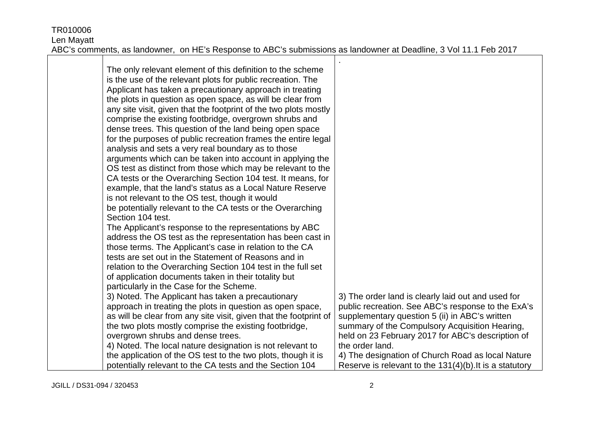| The only relevant element of this definition to the scheme<br>is the use of the relevant plots for public recreation. The<br>Applicant has taken a precautionary approach in treating<br>the plots in question as open space, as will be clear from<br>any site visit, given that the footprint of the two plots mostly<br>comprise the existing footbridge, overgrown shrubs and<br>dense trees. This question of the land being open space<br>for the purposes of public recreation frames the entire legal<br>analysis and sets a very real boundary as to those<br>arguments which can be taken into account in applying the<br>OS test as distinct from those which may be relevant to the<br>CA tests or the Overarching Section 104 test. It means, for<br>example, that the land's status as a Local Nature Reserve<br>is not relevant to the OS test, though it would<br>be potentially relevant to the CA tests or the Overarching<br>Section 104 test.<br>The Applicant's response to the representations by ABC |                                                         |
|-----------------------------------------------------------------------------------------------------------------------------------------------------------------------------------------------------------------------------------------------------------------------------------------------------------------------------------------------------------------------------------------------------------------------------------------------------------------------------------------------------------------------------------------------------------------------------------------------------------------------------------------------------------------------------------------------------------------------------------------------------------------------------------------------------------------------------------------------------------------------------------------------------------------------------------------------------------------------------------------------------------------------------|---------------------------------------------------------|
| address the OS test as the representation has been cast in                                                                                                                                                                                                                                                                                                                                                                                                                                                                                                                                                                                                                                                                                                                                                                                                                                                                                                                                                                  |                                                         |
| those terms. The Applicant's case in relation to the CA<br>tests are set out in the Statement of Reasons and in                                                                                                                                                                                                                                                                                                                                                                                                                                                                                                                                                                                                                                                                                                                                                                                                                                                                                                             |                                                         |
| relation to the Overarching Section 104 test in the full set                                                                                                                                                                                                                                                                                                                                                                                                                                                                                                                                                                                                                                                                                                                                                                                                                                                                                                                                                                |                                                         |
| of application documents taken in their totality but                                                                                                                                                                                                                                                                                                                                                                                                                                                                                                                                                                                                                                                                                                                                                                                                                                                                                                                                                                        |                                                         |
| particularly in the Case for the Scheme.<br>3) Noted. The Applicant has taken a precautionary                                                                                                                                                                                                                                                                                                                                                                                                                                                                                                                                                                                                                                                                                                                                                                                                                                                                                                                               | 3) The order land is clearly laid out and used for      |
| approach in treating the plots in question as open space,                                                                                                                                                                                                                                                                                                                                                                                                                                                                                                                                                                                                                                                                                                                                                                                                                                                                                                                                                                   | public recreation. See ABC's response to the ExA's      |
| as will be clear from any site visit, given that the footprint of                                                                                                                                                                                                                                                                                                                                                                                                                                                                                                                                                                                                                                                                                                                                                                                                                                                                                                                                                           | supplementary question 5 (ii) in ABC's written          |
| the two plots mostly comprise the existing footbridge,                                                                                                                                                                                                                                                                                                                                                                                                                                                                                                                                                                                                                                                                                                                                                                                                                                                                                                                                                                      | summary of the Compulsory Acquisition Hearing,          |
| overgrown shrubs and dense trees.                                                                                                                                                                                                                                                                                                                                                                                                                                                                                                                                                                                                                                                                                                                                                                                                                                                                                                                                                                                           | held on 23 February 2017 for ABC's description of       |
| 4) Noted. The local nature designation is not relevant to                                                                                                                                                                                                                                                                                                                                                                                                                                                                                                                                                                                                                                                                                                                                                                                                                                                                                                                                                                   | the order land.                                         |
| the application of the OS test to the two plots, though it is                                                                                                                                                                                                                                                                                                                                                                                                                                                                                                                                                                                                                                                                                                                                                                                                                                                                                                                                                               | 4) The designation of Church Road as local Nature       |
| potentially relevant to the CA tests and the Section 104                                                                                                                                                                                                                                                                                                                                                                                                                                                                                                                                                                                                                                                                                                                                                                                                                                                                                                                                                                    | Reserve is relevant to the 131(4)(b). It is a statutory |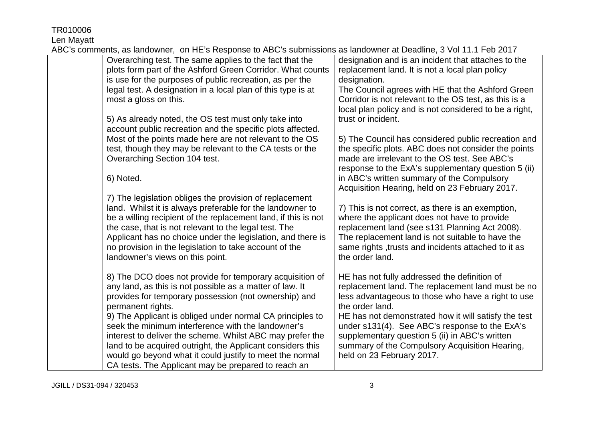TR010006 Len Mayatt

| $\sigma$ commone, as range money, such E shoopshoots to have sabilitations as range more at Dought to, short that the Eq. ( |                                                        |
|-----------------------------------------------------------------------------------------------------------------------------|--------------------------------------------------------|
| Overarching test. The same applies to the fact that the                                                                     | designation and is an incident that attaches to the    |
| plots form part of the Ashford Green Corridor. What counts                                                                  | replacement land. It is not a local plan policy        |
| is use for the purposes of public recreation, as per the                                                                    | designation.                                           |
| legal test. A designation in a local plan of this type is at                                                                | The Council agrees with HE that the Ashford Green      |
| most a gloss on this.                                                                                                       | Corridor is not relevant to the OS test, as this is a  |
|                                                                                                                             | local plan policy and is not considered to be a right, |
| 5) As already noted, the OS test must only take into                                                                        | trust or incident.                                     |
| account public recreation and the specific plots affected.                                                                  |                                                        |
| Most of the points made here are not relevant to the OS                                                                     | 5) The Council has considered public recreation and    |
| test, though they may be relevant to the CA tests or the                                                                    | the specific plots. ABC does not consider the points   |
| Overarching Section 104 test.                                                                                               | made are irrelevant to the OS test. See ABC's          |
|                                                                                                                             | response to the ExA's supplementary question 5 (ii)    |
| 6) Noted.                                                                                                                   | in ABC's written summary of the Compulsory             |
|                                                                                                                             | Acquisition Hearing, held on 23 February 2017.         |
| 7) The legislation obliges the provision of replacement                                                                     |                                                        |
| land. Whilst it is always preferable for the landowner to                                                                   | 7) This is not correct, as there is an exemption,      |
| be a willing recipient of the replacement land, if this is not                                                              | where the applicant does not have to provide           |
| the case, that is not relevant to the legal test. The                                                                       | replacement land (see s131 Planning Act 2008).         |
| Applicant has no choice under the legislation, and there is                                                                 | The replacement land is not suitable to have the       |
| no provision in the legislation to take account of the                                                                      | same rights, trusts and incidents attached to it as    |
| landowner's views on this point.                                                                                            | the order land.                                        |
|                                                                                                                             |                                                        |
| 8) The DCO does not provide for temporary acquisition of                                                                    | HE has not fully addressed the definition of           |
| any land, as this is not possible as a matter of law. It                                                                    | replacement land. The replacement land must be no      |
| provides for temporary possession (not ownership) and                                                                       | less advantageous to those who have a right to use     |
| permanent rights.                                                                                                           | the order land.                                        |
| 9) The Applicant is obliged under normal CA principles to                                                                   | HE has not demonstrated how it will satisfy the test   |
| seek the minimum interference with the landowner's                                                                          | under s131(4). See ABC's response to the ExA's         |
| interest to deliver the scheme. Whilst ABC may prefer the                                                                   | supplementary question 5 (ii) in ABC's written         |
| land to be acquired outright, the Applicant considers this                                                                  | summary of the Compulsory Acquisition Hearing,         |
| would go beyond what it could justify to meet the normal                                                                    | held on 23 February 2017.                              |
| CA tests. The Applicant may be prepared to reach an                                                                         |                                                        |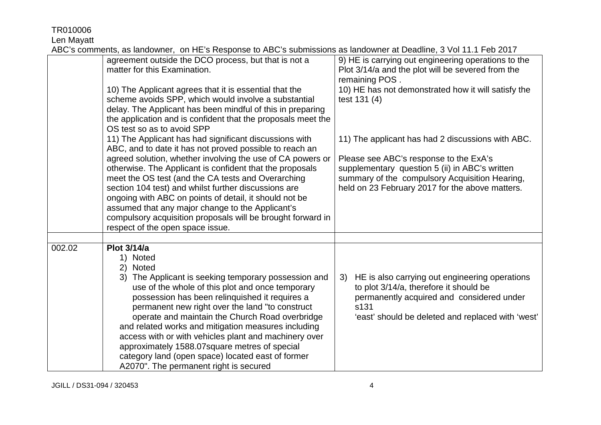Len Mayatt

|        | $\frac{1}{2}$                                                                                                                                                                                                                                                                                                                                                                                                                                                                                                                                                                                         |                                                                                                                                                                                                       |
|--------|-------------------------------------------------------------------------------------------------------------------------------------------------------------------------------------------------------------------------------------------------------------------------------------------------------------------------------------------------------------------------------------------------------------------------------------------------------------------------------------------------------------------------------------------------------------------------------------------------------|-------------------------------------------------------------------------------------------------------------------------------------------------------------------------------------------------------|
|        | agreement outside the DCO process, but that is not a<br>matter for this Examination.                                                                                                                                                                                                                                                                                                                                                                                                                                                                                                                  | 9) HE is carrying out engineering operations to the<br>Plot 3/14/a and the plot will be severed from the<br>remaining POS.                                                                            |
|        | 10) The Applicant agrees that it is essential that the<br>scheme avoids SPP, which would involve a substantial<br>delay. The Applicant has been mindful of this in preparing<br>the application and is confident that the proposals meet the<br>OS test so as to avoid SPP                                                                                                                                                                                                                                                                                                                            | 10) HE has not demonstrated how it will satisfy the<br>test 131 (4)                                                                                                                                   |
|        | 11) The Applicant has had significant discussions with<br>ABC, and to date it has not proved possible to reach an                                                                                                                                                                                                                                                                                                                                                                                                                                                                                     | 11) The applicant has had 2 discussions with ABC.                                                                                                                                                     |
|        | agreed solution, whether involving the use of CA powers or<br>otherwise. The Applicant is confident that the proposals<br>meet the OS test (and the CA tests and Overarching<br>section 104 test) and whilst further discussions are<br>ongoing with ABC on points of detail, it should not be<br>assumed that any major change to the Applicant's<br>compulsory acquisition proposals will be brought forward in<br>respect of the open space issue.                                                                                                                                                 | Please see ABC's response to the ExA's<br>supplementary question 5 (ii) in ABC's written<br>summary of the compulsory Acquisition Hearing,<br>held on 23 February 2017 for the above matters.         |
|        |                                                                                                                                                                                                                                                                                                                                                                                                                                                                                                                                                                                                       |                                                                                                                                                                                                       |
| 002.02 | <b>Plot 3/14/a</b><br><b>Noted</b><br>1)<br>2)<br><b>Noted</b><br>The Applicant is seeking temporary possession and<br>3)<br>use of the whole of this plot and once temporary<br>possession has been relinquished it requires a<br>permanent new right over the land "to construct<br>operate and maintain the Church Road overbridge<br>and related works and mitigation measures including<br>access with or with vehicles plant and machinery over<br>approximately 1588.07square metres of special<br>category land (open space) located east of former<br>A2070". The permanent right is secured | 3) HE is also carrying out engineering operations<br>to plot 3/14/a, therefore it should be<br>permanently acquired and considered under<br>s131<br>'east' should be deleted and replaced with 'west' |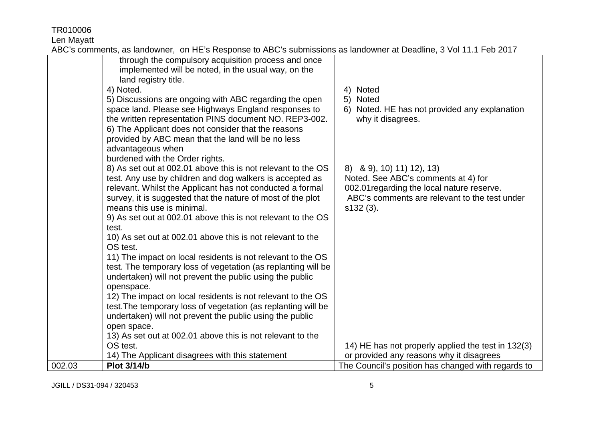Len Mayatt

| 13) As set out at 002.01 above this is not relevant to the<br>OS test.                                     | 14) HE has not properly applied the test in 132(3) |
|------------------------------------------------------------------------------------------------------------|----------------------------------------------------|
| undertaken) will not prevent the public using the public<br>open space.                                    |                                                    |
| test. The temporary loss of vegetation (as replanting will be                                              |                                                    |
| 12) The impact on local residents is not relevant to the OS                                                |                                                    |
| openspace.                                                                                                 |                                                    |
| undertaken) will not prevent the public using the public                                                   |                                                    |
| test. The temporary loss of vegetation (as replanting will be                                              |                                                    |
| 11) The impact on local residents is not relevant to the OS                                                |                                                    |
| 10) As set out at 002.01 above this is not relevant to the<br>OS test.                                     |                                                    |
| test.                                                                                                      |                                                    |
| 9) As set out at 002.01 above this is not relevant to the OS                                               |                                                    |
| means this use is minimal.                                                                                 | $s132(3)$ .                                        |
| survey, it is suggested that the nature of most of the plot                                                | ABC's comments are relevant to the test under      |
| relevant. Whilst the Applicant has not conducted a formal                                                  | 002.01 regarding the local nature reserve.         |
| test. Any use by children and dog walkers is accepted as                                                   | Noted. See ABC's comments at 4) for                |
| 8) As set out at 002.01 above this is not relevant to the OS                                               | 8) & 9), 10) 11) 12), 13)                          |
| burdened with the Order rights.                                                                            |                                                    |
| advantageous when                                                                                          |                                                    |
| 6) The Applicant does not consider that the reasons<br>provided by ABC mean that the land will be no less  |                                                    |
| the written representation PINS document NO. REP3-002.                                                     | why it disagrees.                                  |
| space land. Please see Highways England responses to                                                       | Noted. HE has not provided any explanation<br>6)   |
| 5) Discussions are ongoing with ABC regarding the open                                                     | <b>Noted</b><br>5)                                 |
| 4) Noted.                                                                                                  | 4) Noted                                           |
| land registry title.                                                                                       |                                                    |
| through the compulsory acquisition process and once<br>implemented will be noted, in the usual way, on the |                                                    |